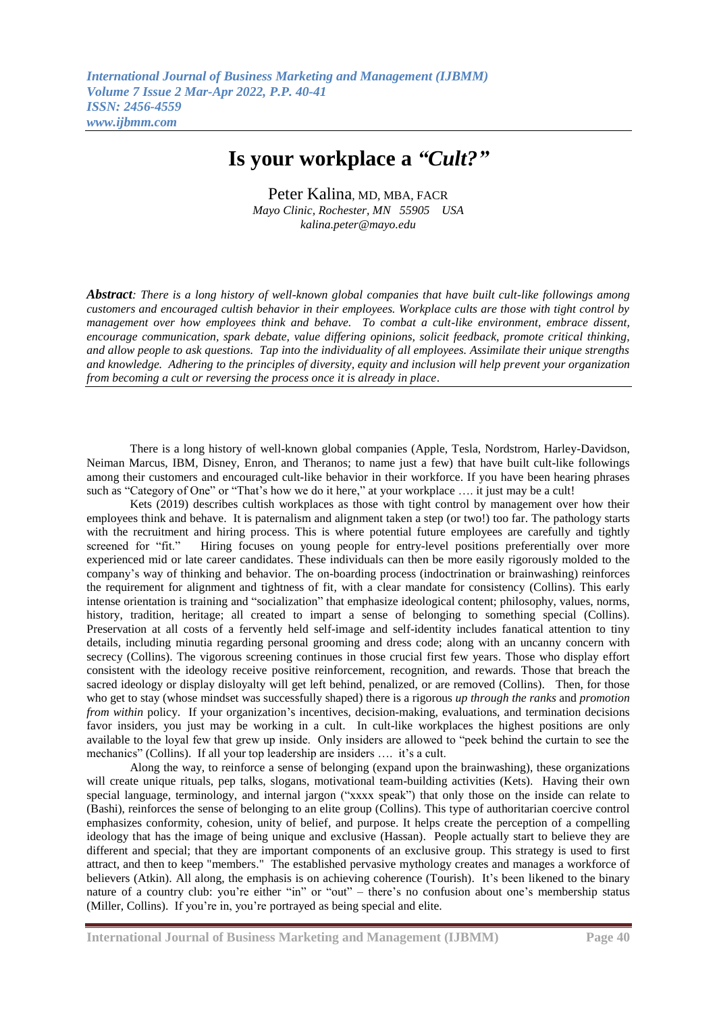## **Is your workplace a** *"Cult?"*

Peter Kalina, MD, MBA, FACR *Mayo Clinic, Rochester, MN 55905 USA kalina.peter@mayo.edu*

*Abstract: There is a long history of well-known global companies that have built cult-like followings among customers and encouraged cultish behavior in their employees. Workplace cults are those with tight control by management over how employees think and behave. To combat a cult-like environment, embrace dissent, encourage communication, spark debate, value differing opinions, solicit feedback, promote critical thinking, and allow people to ask questions. Tap into the individuality of all employees. Assimilate their unique strengths and knowledge. Adhering to the principles of diversity, equity and inclusion will help prevent your organization from becoming a cult or reversing the process once it is already in place*.

 There is a long history of well-known global companies (Apple, Tesla, Nordstrom, Harley-Davidson, Neiman Marcus, IBM, Disney, Enron, and Theranos; to name just a few) that have built cult-like followings among their customers and encouraged cult-like behavior in their workforce. If you have been hearing phrases such as "Category of One" or "That's how we do it here," at your workplace .... it just may be a cult!

 Kets (2019) describes cultish workplaces as those with tight control by management over how their employees think and behave. It is paternalism and alignment taken a step (or two!) too far. The pathology starts with the recruitment and hiring process. This is where potential future employees are carefully and tightly screened for "fit." Hiring focuses on young people for entry-level positions preferentially over more Hiring focuses on young people for entry-level positions preferentially over more experienced mid or late career candidates. These individuals can then be more easily rigorously molded to the company's way of thinking and behavior. The on-boarding process (indoctrination or brainwashing) reinforces the requirement for alignment and tightness of fit, with a clear mandate for consistency (Collins). This early intense orientation is training and "socialization" that emphasize ideological content; philosophy, values, norms, history, tradition, heritage; all created to impart a sense of belonging to something special (Collins). Preservation at all costs of a fervently held self-image and self-identity includes fanatical attention to tiny details, including minutia regarding personal grooming and dress code; along with an uncanny concern with secrecy (Collins). The vigorous screening continues in those crucial first few years. Those who display effort consistent with the ideology receive positive reinforcement, recognition, and rewards. Those that breach the sacred ideology or display disloyalty will get left behind, penalized, or are removed (Collins).Then, for those who get to stay (whose mindset was successfully shaped) there is a rigorous *up through the ranks* and *promotion from within* policy. If your organization's incentives, decision-making, evaluations, and termination decisions favor insiders, you just may be working in a cult. In cult-like workplaces the highest positions are only available to the loyal few that grew up inside. Only insiders are allowed to "peek behind the curtain to see the mechanics" (Collins). If all your top leadership are insiders …. it's a cult.

Along the way, to reinforce a sense of belonging (expand upon the brainwashing), these organizations will create unique rituals, pep talks, slogans, motivational team-building activities (Kets). Having their own special language, terminology, and internal jargon ("xxxx speak") that only those on the inside can relate to (Bashi), reinforces the sense of belonging to an elite group (Collins). This type of authoritarian coercive control emphasizes conformity, cohesion, unity of belief, and purpose. It helps create the perception of a compelling ideology that has the image of being unique and exclusive (Hassan). People actually start to believe they are different and special; that they are important components of an exclusive group. This strategy is used to first attract, and then to keep "members." The established pervasive mythology creates and manages a workforce of believers (Atkin). All along, the emphasis is on achieving coherence (Tourish). It's been likened to the binary nature of a country club: you're either "in" or "out" – there's no confusion about one's membership status (Miller, Collins). If you're in, you're portrayed as being special and elite.